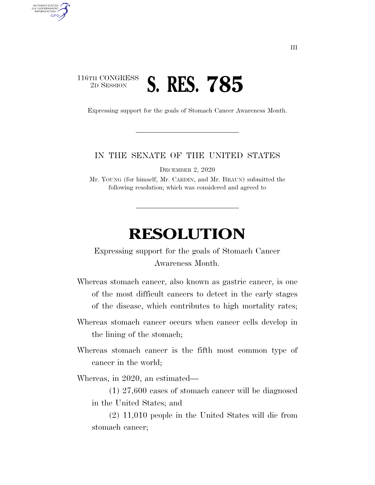## 116TH CONGRESS <sup>2D SESSION</sup> **S. RES. 785**

U.S. GOVERNMENT GPO

Expressing support for the goals of Stomach Cancer Awareness Month.

## IN THE SENATE OF THE UNITED STATES

DECEMBER 2, 2020

Mr. YOUNG (for himself, Mr. CARDIN, and Mr. BRAUN) submitted the following resolution; which was considered and agreed to

## **RESOLUTION**

Expressing support for the goals of Stomach Cancer Awareness Month.

Whereas stomach cancer, also known as gastric cancer, is one of the most difficult cancers to detect in the early stages of the disease, which contributes to high mortality rates;

- Whereas stomach cancer occurs when cancer cells develop in the lining of the stomach;
- Whereas stomach cancer is the fifth most common type of cancer in the world;

Whereas, in 2020, an estimated—

(1) 27,600 cases of stomach cancer will be diagnosed in the United States; and

(2) 11,010 people in the United States will die from stomach cancer;